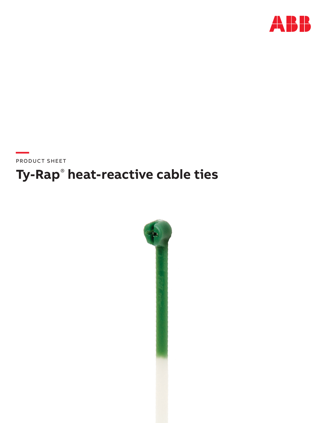

# Ty-Rap® heat-reactive cable ties

PRODUCT SHEET